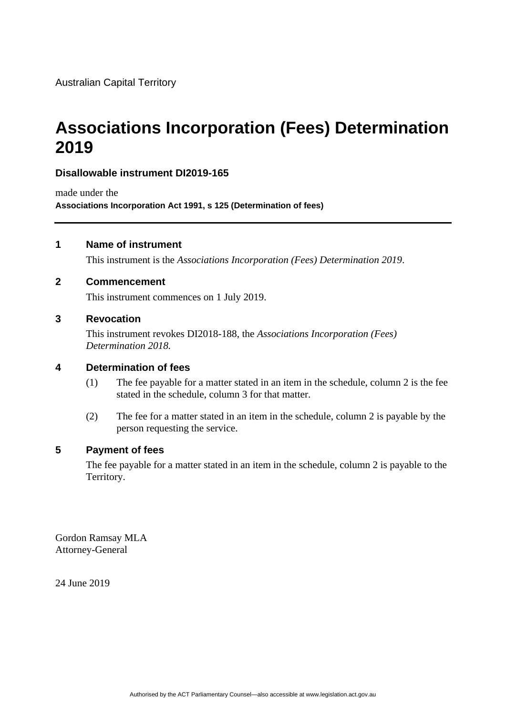# **Associations Incorporation (Fees) Determination 2019**

# **Disallowable instrument DI2019-165**

made under the **Associations Incorporation Act 1991, s 125 (Determination of fees)**

# **1 Name of instrument**

This instrument is the *Associations Incorporation (Fees) Determination 2019*.

#### **2 Commencement**

This instrument commences on 1 July 2019.

#### **3 Revocation**

This instrument revokes DI2018-188, the *Associations Incorporation (Fees) Determination 2018.*

# **4 Determination of fees**

- (1) The fee payable for a matter stated in an item in the schedule, column 2 is the fee stated in the schedule, column 3 for that matter.
- (2) The fee for a matter stated in an item in the schedule, column 2 is payable by the person requesting the service.

# **5 Payment of fees**

The fee payable for a matter stated in an item in the schedule, column 2 is payable to the Territory.

Gordon Ramsay MLA Attorney-General

24 June 2019